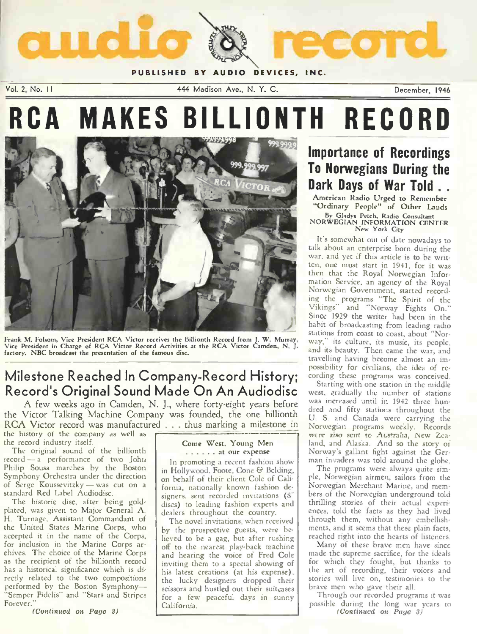

PUBLISHED BY AUDIO DEVICES, INC.

Vol. 2, No. I 444 Madison Ave., N. Y. C. December, 1946

# RCA MAKES BILLIONTH RECORD



Frank M. Folsom, Vice President RCA Victor receives the Billionth Record from J. W. Murray, Vice President in Charge of RCA Victor Record Activities at the RCA Victor Camden, N. J. factory. NBC broadcast the presentation of the famous disc.

# Milestone Reached In Company-Record History; possibility for civilians, the idea of re-Record's Original Sound Made On An Audiodisc west, gradually the number of stations

A few weeks ago in Camden, N. J., where forty-eight years before the Victor Talking Machine Company was founded, the one billionth RCA Victor record was manufactured ... thus marking a milestone in the history of the company as well as

the record industry itself.

The original sound of the billionth record - a performance of two John Philip Sousa marches by the Boston Symphony Orchestra under the direction of Serge Koussevitzky - was cut on a standard Red Label Audiodise.

The historic disc, after being goldplated, was given to Major General A. H. Turnage, Assistant Commandant of the United States Marine Corps, who accepted it in the name of the Corps, for inclusion in the Marine Corps ar chives. The choice of the Marine Corps as the recipient of the billionth record has a historical significance which is directly related to the two compositions performed by the Boston Symphony-"Semper Fidelis" and "Stars and Stripes Forever."

(Continued on Page 2)

## Come West, Young Men ...... at our expense

In promoting a recent fashion show in Hollywood. Foote, Cone & Belding, on behalf of their client Cole of California, nationally known fashion designers. sent recorded invitations (S" discs) to leading fashion experts and dealers throughout the country.

The novel invitations, when received by the prospective guests, were believed to be a gag, but after rushing off to the nearest play-back machine and hearing the voice of Fred Cole inviting them to a special showing of his latest creations (at his expense), the lucky designers dropped their scissors and hustled out their suitcases California.

## Importance of Recordings To Norwegians During the Dark Days of War Told ...

American Radio Urged to Remember "Ordinary People" of Other Lands By Gladys Fetch, Radio Consultant NORWEGIAN INFORMATION CENTER New York City

ten, one must start in 1941, for it was<br>then that the Royal Norwegian Infor-It's somewhat out of date nowadays to talk about an enterprise born during the war, and yet if this article is to he writmation Service, an agency of the Royal Norwegian Government, started recording the programs "The Spirit of the Vikings" and "Norway Fights On." Since 1929 the writer had been in the habit of broadcasting from leading radio stations from coast to coast, about "Norway," its culture, its music, its people, and its beauty. Then came the war, and travelling having become almost an imcording these programs was conceived.

Starting with one station in the middle was increased until in 1942 three hundred and fifty stations throughout the U. S. and Canada were carrying the Norwegian programs weekly. Records were also sent to Australia, New Zealand, and Alaska. And so the story of Norway's gallant fight against the German invaders was told around the globe.

The programs were always quite simple, Norwegian airmen, sailors from the bers of the Norwegian underground told thrilling stories of their actual experiences, told the facts as they had lived through them, without any embellishments, and it seems that these plain facts, reached right into the hearts of listeners.

Many of these brave men have since made the supreme sacrifice, for the ideals for which they fought, but thanks to the art of recording, their voices and stories will live on, testimonies to the brave men who gave their all.

for a few peaceful days in sunny I lhrough our recorded programs it was<br>California Through our recorded programs it was (Continued on Puye 3)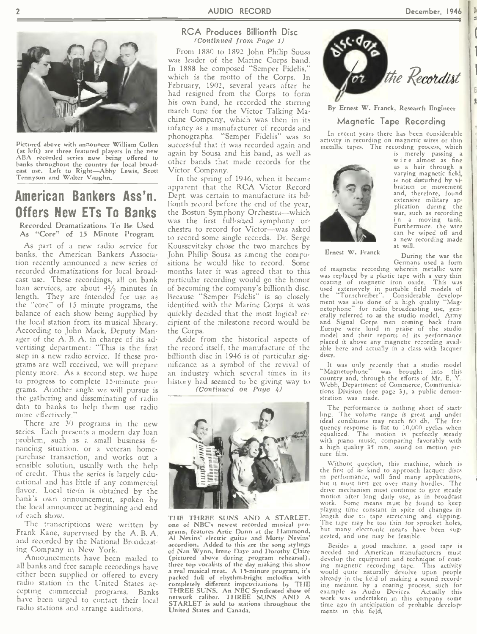

Pictured above with announcer William Cullen (at left) are three featured players in the new again by Sousa and his band, as well as ABA recorded series now being offered to banks throughout the country for local broadcast use. Left to Right-Abby Lewis, Scott Tennyson and Walter Vaughn.

# American Bankers Ass'n.

Recorded Dramatizations To Be Used As "Core" of 15 Minute Program

As part of a new radio service for banks, the American Bankers Association recently announced a new series of recorded dramatizations for local broadcast use. These recordings, all on bank loan services, are about  $4\frac{1}{2}$  minutes in length. They arc intended for use as the "core" of 15 minute programs, the balance of each show being supplied by the local station from its musical library. According to John Mack, Deputy Manager of the A. B. A. in charge of its advertising department: "This is the first step in a new radio service. If these programs are well received, we will prepare plenty more. As a second step, we hope to progress to complete 15-minute programs. Another angle we will pursue is the gathering and disseminating of radio data to banks to help them use radio more effectively."

There are 30 programs in the new series. Each presents a modern day loan problem, such as a small business fi-<br>nancing situation, or a veteran homepurchase transaction, and works out a<br>sensible solution, usually with the help of credit. Thus the series is largely educational and has little if any commercial flavor. Local tie-in is obtained by the<br>bank's own announcement, spoken by the local announcer at beginning and end of each show.

The transcriptions were written by Frank Kane, supervised by the A. B. A. and recorded by the National Broadcasting Company in New York.

Announcements have been mailed to all banks and free sample recordings have<br>either been supplied or offered to every either been supplied or offered to every a radio station in the United States ac-<br>cepting commercial programs. Banks TF have been urged to contact their local ne radio stations and arrange auditions.

## RCA Produces Billionth Disc (Continued from Page 1)

From 1880 to 1892 John Philip Sousa was leader of the Marine Corps band. In 1888 he composed "Semper Fidelis," which is the motto of the Corps. In February, 1902, several years after he had resigned from the Corps to form his own hand, he recorded the stirring march tune for the Victor Talking Machine Company, which was then in its infancy as a manufacturer of records and phonographs. "Semper Fidelis" was so successful that it was recorded again and other bands that made records for the Victor Company.

**Offers New ETs To Banks** the Boston Symphony Orchestra—which was the first full-sized symphony or-In the spring of 1946, when it became apparent that the RCA Victor Record Dept. was certain to manufacture its billionth record before the end of the year, the Boston Symphony Orchestra-which chestra to record for Victor--was asked to record some single records. Dr. Serge Koussevitzky chose the two marches by John Philip Sousa as among the compositions he would like to record. Some months later it was agreed that to this particular recording would go the honor of becoming the company's billionth disc. Because "Semper Fidelis" is so closely identified with the Marine Corps it was quickly decided that the most logical re cipient of the milestone record would be the Corps.

Aside from the historical aspects of the record itself, the manufacture of the billionth disc in 1946 is of particular significance as a symbol of the revival of an industry which several times in its history had seemed to be giving way to

(Continued on Page 4)



THE THREE SUNS AND A STARLET, one of NBC's newest recorded musical programs, features Artie Dunn at the Hammond, Al Nevins' electric guitar and Morty Nevins' accordion. Added to this are the song stylings of Nan Wynn, Irene Dayc and Dorothy Claire (pictured above during program rehearsal),  $\overline{dc}$ three top vocalists of the day making this show a real musical treat. A 15-minute program, it's would quite naturally devolve upon people packed full of rhythm-bright melodies with alreable completely different improvizations by THE ing<br>THREE SUNS. An NBC Syndicated show of<br>network caliber, THREE SUNS AND A<br>STARLET is sold to stations throughout the time United States and Canada.



By Ernest W. Franck, Research Engineer

## Magnetic Tape Recording

In recent years there has been considerable activity in recording on magnetic wires or thin metallic tapes. The recording process, which



Ernest W. Franck

is merely passing a<br>wire almost as fine as a hair through a<br>varying magnetic field, is not disturbed by vibration or movement and, therefore, found extensive military ap-plication during the war, such as recordin<mark>g</mark><br>in a moving tank. a moving tank. Furthermore, the wire can be wiped off and a new recording made at will.

During the war the Germans used a form

of magnetic recording wherein metallic wire was replaced by a plastic tape with a very thin coating of magnetic iron oxide. This was used extensively in portable field models of **the "Tonschreiber".** Considerable development was also done of a high quality "Magnetophone" for radio broadcasting use, generally referred to as the studio model. Army and Signal Corps men coming back from Europe were loud in praise of the studio model and their reports of its performance placed it above any magnetic recording available here and actually in a class with lacquer discs.

It was only recently that a studio model "Magnetophone" was brought into this country and, through the efforts of Mr. E.  $Y$ . Webb, Department of Commerce, Communications Division (see page 3), a public demonstration was made.

The performance is nothing short of start-<br>ling. The volume range is great and under The volume range is great and under ideal conditions may reach 60 db. The frequency response is flat to 10,000 cycles when equalized. The motion is perfectly steady with piano music, comparing favorably with a high quality 35 mm. sound on motion picture film.

Without question, this machine, which is the first of its kind to approach lacquer discs in performance, will find many applications, hut it must first get over many hurdles. The drive mechanism must continue to give steady motion after long daily use, as in broadcast work. Some means must be found to keep playing time constant in spite of changes in length due to tape stretching and slipping. The tape may be too thin for sprocket holes, but many electronic means have been suggested, and one may be feasible.

Besides a good machine, a good tape is needed and American manufacturers must develop the equipment and technique of coat-ing magnetic recording tape. This activity would quite naturally devolve upon people already in the field of making a sound recording medium by a coating process, such for example as Audio Devices. Actually this work was undertaken in this company some time ago in anticipation of probable developments in this field.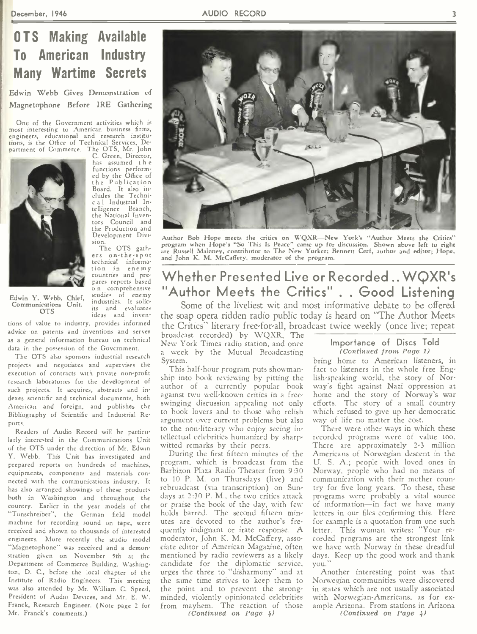# 0 TS Making Available To American Industry Many Wartime Secrets

Edwin Webb Gives Demonstration of Magnetophone Before IRE Gathering

One of the Government activities which is most interesting to American business firms, engineers, educational and research institu tions, is the Office of Technical Services, De, partment of Commerce. The OTS, Mr. John C. Green, Director,



Edwin Y. Webb, Chief, Communications Unit, OTS

has assumed the<br>functions perform-<br>ed by the Office of the Publication Board. It also in-<br>cludes the Technic a 1 Industrial Intelligence Branch, the National Inventors Council and the Production and Development Division.

The OTS gathers on-the-spot technical information in enemy<br>countries and prepares reports based o n comprehensive studies of enemy industries. It solicits and evaluates<br>ideas and inven- **th** 

tions of value to industry, provides informed advice on patents and inventions and serves as a general information bureau on technical data in the possession of the Government.

The OTS also sponsors industrial research projects and negotiates and supervises the execution of contracts with private non-profit research laboratories for the development of such projects. It acquires, abstracts and indexes scientific and technical documents, both American and foreign, and publishes the Bibliography of Scientific and Industrial Reports.

Readers of Audio Record will be particularly interested in the Communications Unit of the OTS under the direction of Mr. Edwin Y. Webb. This Unit has investigated and prepared reports on hundreds of machines, equipments, components and materials con nected with the communications industry. It has also arranged showings of these products. both in Washington and throughout the country. Earlier in the year models of the "Tonschreiber", the German field model machine for recording sound on tape, were received and shown to thousands of interested engineers. More recently the studio model "Magnetophone" was received and a demonstration given on November 5th at the Department of Commerce Building, Washington, D. C., before the local chapter of the Institute of Radio Engineers. This meeting was also attended by Mr. William C. Speed, President of Audio Devices, and Mr. E. W. Franck, Research Engineer. (Note page 2 for Mr. Franck's comments.)



Author Bob Hope meets the critics on W'QXR—New York's "Author Meets the Critics" program when Hope's "So This Is Peace" came up for discussion. Shown above left to right are Russell Maloney, contributor to The New Yorker; Bennett Cerf, author and editor; Hope, and John K. M. McCaffery. moderator of the program.

## Whether Presented Live or Recorded ..WQXR's "Author Meets the Critics" . . Good Listening

Some of the liveliest wit and most informative debate to he offered the soap opera ridden radio public today is heard on "The Author Meets the Critics" literary free-for-all, broadcast twice weekly (once live; repeat

broadcast recorded) by WQXR, The New York Times radio station, and once a week by the Mutual Broadcasting System.

This half-hour program puts showmanship into book reviewing by pitting the author of a currently popular book against two well-known critics in a freeswinging discussion appealing not only to book lovers and to those who relish argument over current problems but also to the non-literary who enjoy seeing intellectual celebrities humanized by sharpwitted remarks by their peers.

During the first fifteen minutes of the program, which is broadcast from the Barbizon Plaza Radio Theater from 9:30 to 10 P. M. on Thursdays (live) and rebroadcast (via transcription) on Sundays at 2:30 P. M., the two critics attack or praise the book of the day, with few holds barred. The second fifteen minutes are devoted to the author's frequently indignant or irate response. A moderator, John K. M. McCaffery, asso ciate editor of American Magazine, often mentioned by radio reviewers as a likely candidate for the diplomatic service, urges the three to "disharmony" and at the same time strives to keep them to the point and to prevent the strongminded, violently opinionated celebrities from mayhem. The reaction of those (Continued on Page 4)

## Importance of Discs Told (Continued front Page 1)

bring home to American listeners, in fact to listeners in the whole free English-speaking world, the story of Norway's fight against Nazi oppression at home and the story of Norway's war efforts. The story of a small country which refused to give up her democratic way of life no matter the cost.

There were other ways in which these recorded programs were of value too. There are approximately 2-3 million Americans of Norwegian descent in the IJ. S. A.; people with loved ones in Norway, people who had no means of communication with their mother country for five long years. To these, these programs were probably a vital source of information-in fact we have many letters in our files confirming this. Here for example is a quotation from one such letter. This woman writes: "Your re corded programs are the strongest link we have with Norway in these dreadful days. Keep up the good work and thank you."

Another interesting point was that Norwegian communities were discovered in states which are not usually associated with Norwegian-Americans, as for example Arizona. From stations in Arizona (Continued on Page 4)